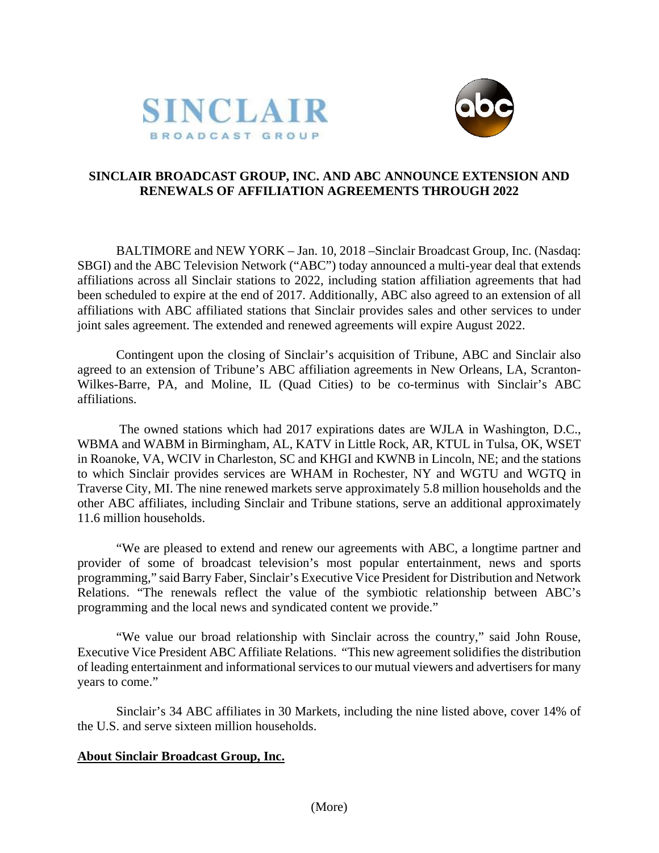



## **SINCLAIR BROADCAST GROUP, INC. AND ABC ANNOUNCE EXTENSION AND RENEWALS OF AFFILIATION AGREEMENTS THROUGH 2022**

BALTIMORE and NEW YORK – Jan. 10, 2018 –Sinclair Broadcast Group, Inc. (Nasdaq: SBGI) and the ABC Television Network ("ABC") today announced a multi-year deal that extends affiliations across all Sinclair stations to 2022, including station affiliation agreements that had been scheduled to expire at the end of 2017. Additionally, ABC also agreed to an extension of all affiliations with ABC affiliated stations that Sinclair provides sales and other services to under joint sales agreement. The extended and renewed agreements will expire August 2022.

Contingent upon the closing of Sinclair's acquisition of Tribune, ABC and Sinclair also agreed to an extension of Tribune's ABC affiliation agreements in New Orleans, LA, Scranton-Wilkes-Barre, PA, and Moline, IL (Quad Cities) to be co-terminus with Sinclair's ABC affiliations.

The owned stations which had 2017 expirations dates are WJLA in Washington, D.C., WBMA and WABM in Birmingham, AL, KATV in Little Rock, AR, KTUL in Tulsa, OK, WSET in Roanoke, VA, WCIV in Charleston, SC and KHGI and KWNB in Lincoln, NE; and the stations to which Sinclair provides services are WHAM in Rochester, NY and WGTU and WGTQ in Traverse City, MI. The nine renewed markets serve approximately 5.8 million households and the other ABC affiliates, including Sinclair and Tribune stations, serve an additional approximately 11.6 million households.

"We are pleased to extend and renew our agreements with ABC, a longtime partner and provider of some of broadcast television's most popular entertainment, news and sports programming," said Barry Faber, Sinclair's Executive Vice President for Distribution and Network Relations. "The renewals reflect the value of the symbiotic relationship between ABC's programming and the local news and syndicated content we provide."

"We value our broad relationship with Sinclair across the country," said John Rouse, Executive Vice President ABC Affiliate Relations. "This new agreement solidifies the distribution of leading entertainment and informational servicesto our mutual viewers and advertisers for many years to come."

Sinclair's 34 ABC affiliates in 30 Markets, including the nine listed above, cover 14% of the U.S. and serve sixteen million households.

## **About Sinclair Broadcast Group, Inc.**